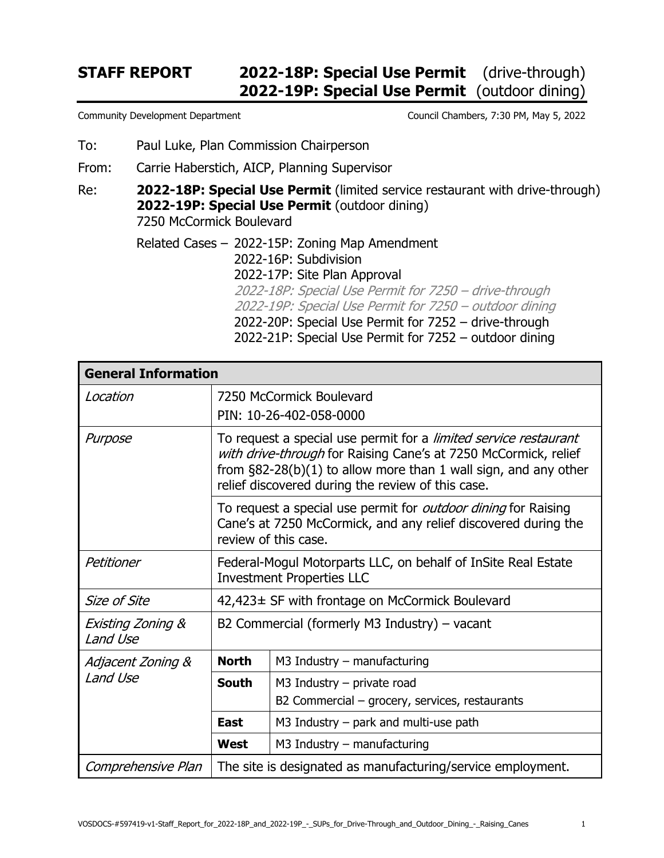## **STAFF REPORT 2022-18P: Special Use Permit** (drive-through)  **2022-19P: Special Use Permit** (outdoor dining)

- To: Paul Luke, Plan Commission Chairperson
- From: Carrie Haberstich, AICP, Planning Supervisor

Re: **2022-18P: Special Use Permit** (limited service restaurant with drive-through) **2022-19P: Special Use Permit** (outdoor dining) 7250 McCormick Boulevard

> Related Cases – 2022-15P: Zoning Map Amendment 2022-16P: Subdivision 2022-17P: Site Plan Approval 2022-18P: Special Use Permit for 7250 – drive-through 2022-19P: Special Use Permit for 7250 – outdoor dining 2022-20P: Special Use Permit for 7252 – drive-through 2022-21P: Special Use Permit for 7252 – outdoor dining

| <b>General Information</b>    |                                                                                                                                                                                                                                                                |                                                                                |  |  |
|-------------------------------|----------------------------------------------------------------------------------------------------------------------------------------------------------------------------------------------------------------------------------------------------------------|--------------------------------------------------------------------------------|--|--|
| Location                      | 7250 McCormick Boulevard<br>PIN: 10-26-402-058-0000                                                                                                                                                                                                            |                                                                                |  |  |
| Purpose                       | To request a special use permit for a limited service restaurant<br>with drive-through for Raising Cane's at 7250 McCormick, relief<br>from $\S82-28(b)(1)$ to allow more than 1 wall sign, and any other<br>relief discovered during the review of this case. |                                                                                |  |  |
|                               | To request a special use permit for outdoor dining for Raising<br>Cane's at 7250 McCormick, and any relief discovered during the<br>review of this case.                                                                                                       |                                                                                |  |  |
| Petitioner                    | Federal-Mogul Motorparts LLC, on behalf of InSite Real Estate<br><b>Investment Properties LLC</b>                                                                                                                                                              |                                                                                |  |  |
| Size of Site                  | 42,423± SF with frontage on McCormick Boulevard                                                                                                                                                                                                                |                                                                                |  |  |
| Existing Zoning &<br>Land Use | B2 Commercial (formerly M3 Industry) $-$ vacant                                                                                                                                                                                                                |                                                                                |  |  |
| Adjacent Zoning &<br>Land Use | <b>North</b>                                                                                                                                                                                                                                                   | $M3$ Industry – manufacturing                                                  |  |  |
|                               | <b>South</b>                                                                                                                                                                                                                                                   | $M3$ Industry – private road<br>B2 Commercial – grocery, services, restaurants |  |  |
|                               | East                                                                                                                                                                                                                                                           | M3 Industry $-$ park and multi-use path                                        |  |  |
|                               | <b>West</b>                                                                                                                                                                                                                                                    | $M3$ Industry – manufacturing                                                  |  |  |
| Comprehensive Plan            | The site is designated as manufacturing/service employment.                                                                                                                                                                                                    |                                                                                |  |  |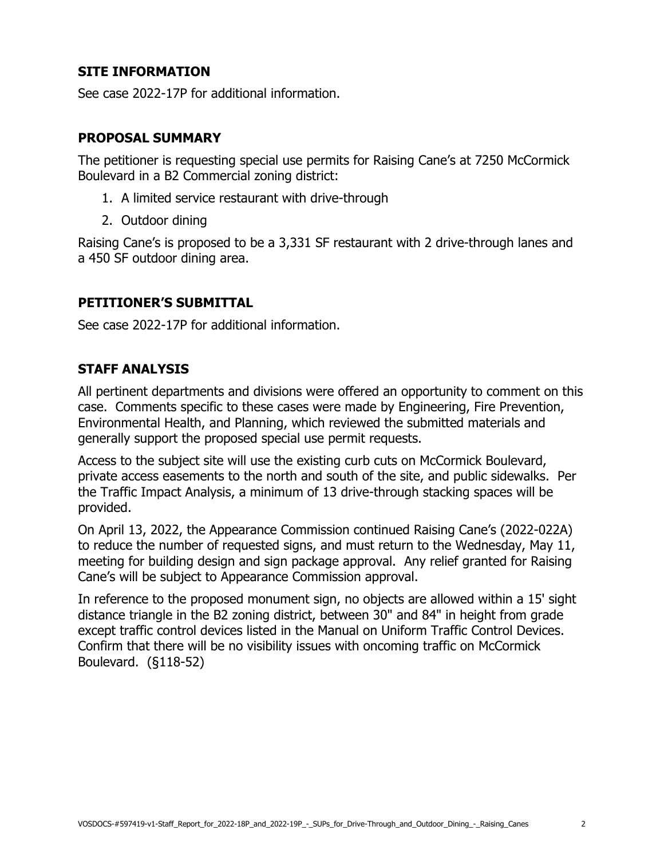## **SITE INFORMATION**

See case 2022-17P for additional information.

#### **PROPOSAL SUMMARY**

The petitioner is requesting special use permits for Raising Cane's at 7250 McCormick Boulevard in a B2 Commercial zoning district:

- 1. A limited service restaurant with drive-through
- 2. Outdoor dining

Raising Cane's is proposed to be a 3,331 SF restaurant with 2 drive-through lanes and a 450 SF outdoor dining area.

### **PETITIONER'S SUBMITTAL**

See case 2022-17P for additional information.

### **STAFF ANALYSIS**

All pertinent departments and divisions were offered an opportunity to comment on this case. Comments specific to these cases were made by Engineering, Fire Prevention, Environmental Health, and Planning, which reviewed the submitted materials and generally support the proposed special use permit requests.

Access to the subject site will use the existing curb cuts on McCormick Boulevard, private access easements to the north and south of the site, and public sidewalks. Per the Traffic Impact Analysis, a minimum of 13 drive-through stacking spaces will be provided.

On April 13, 2022, the Appearance Commission continued Raising Cane's (2022-022A) to reduce the number of requested signs, and must return to the Wednesday, May 11, meeting for building design and sign package approval. Any relief granted for Raising Cane's will be subject to Appearance Commission approval.

In reference to the proposed monument sign, no objects are allowed within a 15' sight distance triangle in the B2 zoning district, between 30" and 84" in height from grade except traffic control devices listed in the Manual on Uniform Traffic Control Devices. Confirm that there will be no visibility issues with oncoming traffic on McCormick Boulevard. (§118-52)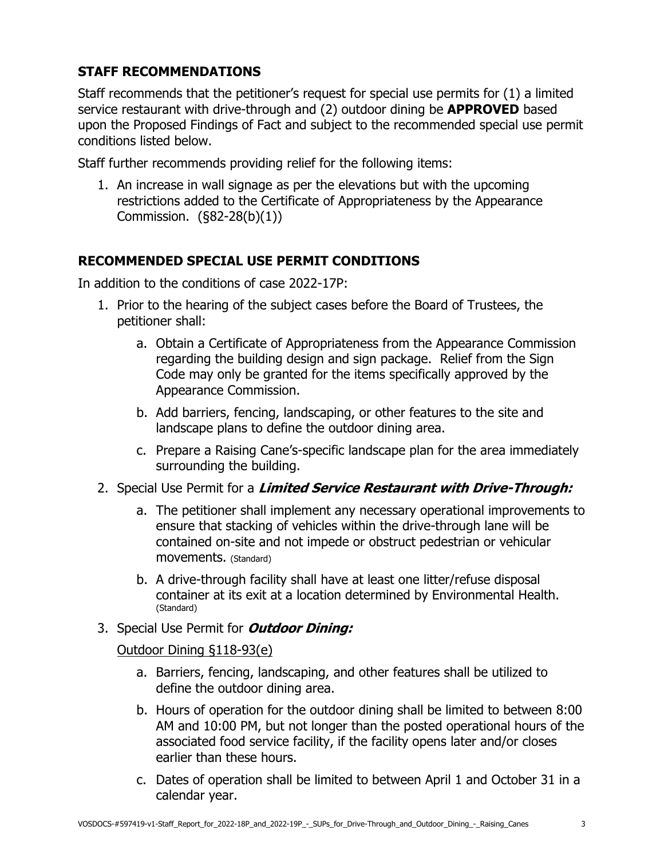## **STAFF RECOMMENDATIONS**

Staff recommends that the petitioner's request for special use permits for (1) a limited service restaurant with drive-through and (2) outdoor dining be **APPROVED** based upon the Proposed Findings of Fact and subject to the recommended special use permit conditions listed below.

Staff further recommends providing relief for the following items:

1. An increase in wall signage as per the elevations but with the upcoming restrictions added to the Certificate of Appropriateness by the Appearance Commission. (§82-28(b)(1))

## **RECOMMENDED SPECIAL USE PERMIT CONDITIONS**

In addition to the conditions of case 2022-17P:

- 1. Prior to the hearing of the subject cases before the Board of Trustees, the petitioner shall:
	- a. Obtain a Certificate of Appropriateness from the Appearance Commission regarding the building design and sign package. Relief from the Sign Code may only be granted for the items specifically approved by the Appearance Commission.
	- b. Add barriers, fencing, landscaping, or other features to the site and landscape plans to define the outdoor dining area.
	- c. Prepare a Raising Cane's-specific landscape plan for the area immediately surrounding the building.
- 2. Special Use Permit for a **Limited Service Restaurant with Drive-Through:**
	- a. The petitioner shall implement any necessary operational improvements to ensure that stacking of vehicles within the drive-through lane will be contained on-site and not impede or obstruct pedestrian or vehicular movements. (Standard)
	- b. A drive-through facility shall have at least one litter/refuse disposal container at its exit at a location determined by Environmental Health. (Standard)
- 3. Special Use Permit for **Outdoor Dining:**

### Outdoor Dining §118-93(e)

- a. Barriers, fencing, landscaping, and other features shall be utilized to define the outdoor dining area.
- b. Hours of operation for the outdoor dining shall be limited to between 8:00 AM and 10:00 PM, but not longer than the posted operational hours of the associated food service facility, if the facility opens later and/or closes earlier than these hours.
- c. Dates of operation shall be limited to between April 1 and October 31 in a calendar year.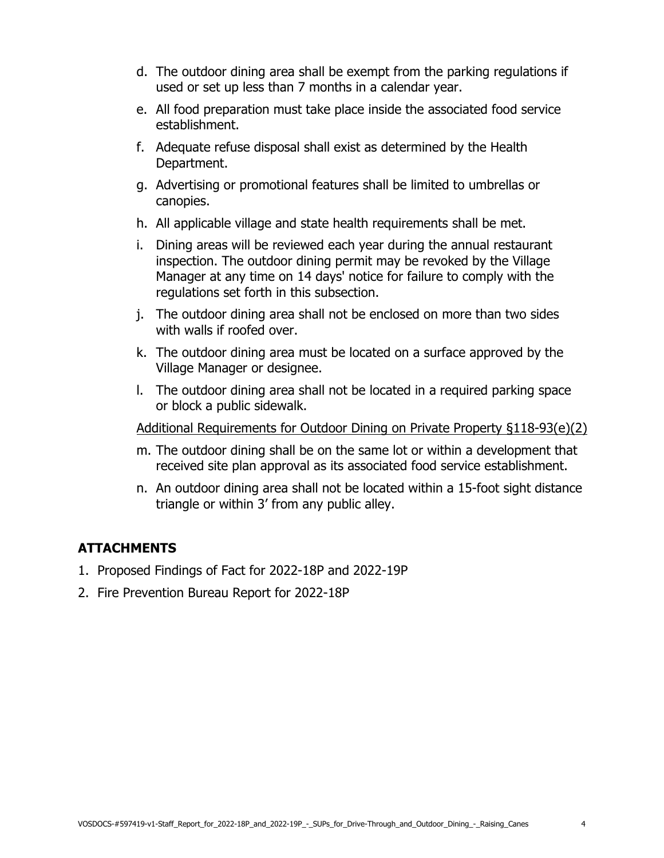- d. The outdoor dining area shall be exempt from the parking regulations if used or set up less than 7 months in a calendar year.
- e. All food preparation must take place inside the associated food service establishment.
- f. Adequate refuse disposal shall exist as determined by the Health Department.
- g. Advertising or promotional features shall be limited to umbrellas or canopies.
- h. All applicable village and state health requirements shall be met.
- i. Dining areas will be reviewed each year during the annual restaurant inspection. The outdoor dining permit may be revoked by the Village Manager at any time on 14 days' notice for failure to comply with the regulations set forth in this subsection.
- j. The outdoor dining area shall not be enclosed on more than two sides with walls if roofed over.
- k. The outdoor dining area must be located on a surface approved by the Village Manager or designee.
- l. The outdoor dining area shall not be located in a required parking space or block a public sidewalk.

Additional Requirements for Outdoor Dining on Private Property §118-93(e)(2)

- m. The outdoor dining shall be on the same lot or within a development that received site plan approval as its associated food service establishment.
- n. An outdoor dining area shall not be located within a 15-foot sight distance triangle or within 3' from any public alley.

## **ATTACHMENTS**

- 1. Proposed Findings of Fact for 2022-18P and 2022-19P
- 2. Fire Prevention Bureau Report for 2022-18P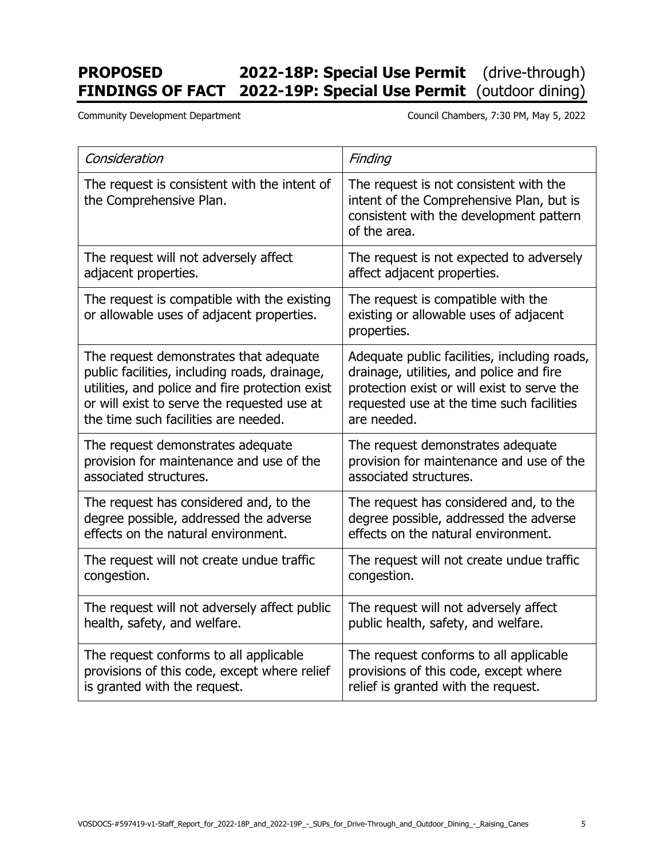# **PROPOSED 2022-18P: Special Use Permit** (drive-through) **FINDINGS OF FACT 2022-19P: Special Use Permit** (outdoor dining)

Community Development Department Council Chambers, 7:30 PM, May 5, 2022

| Consideration                                                                            | Finding                                                                                                                                       |  |
|------------------------------------------------------------------------------------------|-----------------------------------------------------------------------------------------------------------------------------------------------|--|
| The request is consistent with the intent of<br>the Comprehensive Plan.                  | The request is not consistent with the<br>intent of the Comprehensive Plan, but is<br>consistent with the development pattern<br>of the area. |  |
| The request will not adversely affect                                                    | The request is not expected to adversely                                                                                                      |  |
| adjacent properties.                                                                     | affect adjacent properties.                                                                                                                   |  |
| The request is compatible with the existing<br>or allowable uses of adjacent properties. | The request is compatible with the<br>existing or allowable uses of adjacent<br>properties.                                                   |  |
| The request demonstrates that adequate                                                   | Adequate public facilities, including roads,                                                                                                  |  |
| public facilities, including roads, drainage,                                            | drainage, utilities, and police and fire                                                                                                      |  |
| utilities, and police and fire protection exist                                          | protection exist or will exist to serve the                                                                                                   |  |
| or will exist to serve the requested use at                                              | requested use at the time such facilities                                                                                                     |  |
| the time such facilities are needed.                                                     | are needed.                                                                                                                                   |  |
| The request demonstrates adequate                                                        | The request demonstrates adequate                                                                                                             |  |
| provision for maintenance and use of the                                                 | provision for maintenance and use of the                                                                                                      |  |
| associated structures.                                                                   | associated structures.                                                                                                                        |  |
| The request has considered and, to the                                                   | The request has considered and, to the                                                                                                        |  |
| degree possible, addressed the adverse                                                   | degree possible, addressed the adverse                                                                                                        |  |
| effects on the natural environment.                                                      | effects on the natural environment.                                                                                                           |  |
| The request will not create undue traffic                                                | The request will not create undue traffic                                                                                                     |  |
| congestion.                                                                              | congestion.                                                                                                                                   |  |
| The request will not adversely affect public                                             | The request will not adversely affect                                                                                                         |  |
| health, safety, and welfare.                                                             | public health, safety, and welfare.                                                                                                           |  |
| The request conforms to all applicable                                                   | The request conforms to all applicable                                                                                                        |  |
| provisions of this code, except where relief                                             | provisions of this code, except where                                                                                                         |  |
| is granted with the request.                                                             | relief is granted with the request.                                                                                                           |  |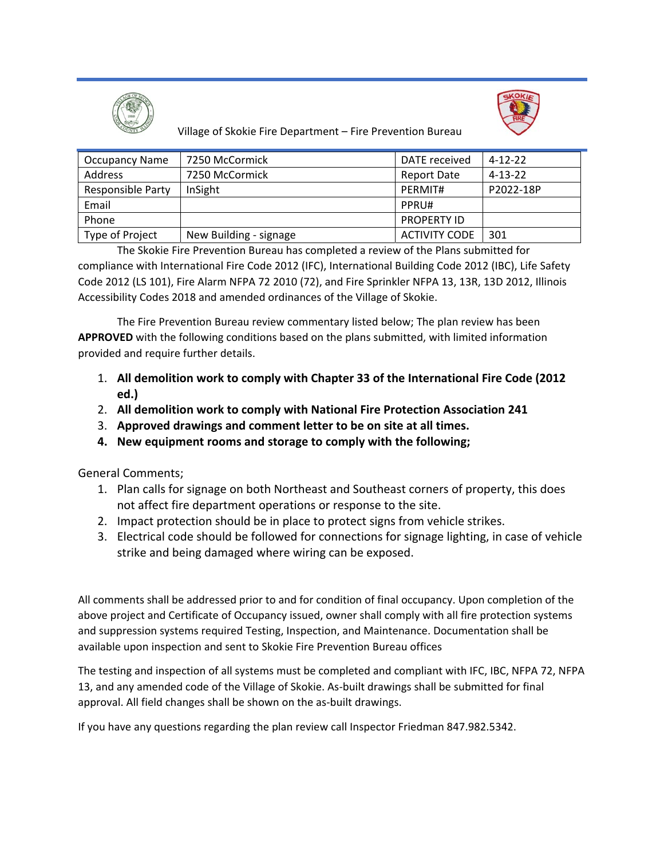



Village of Skokie Fire Department – Fire Prevention Bureau

| <b>Occupancy Name</b>    | 7250 McCormick         | DATE received        | $4 - 12 - 22$ |
|--------------------------|------------------------|----------------------|---------------|
| Address                  | 7250 McCormick         | Report Date          | $4 - 13 - 22$ |
| <b>Responsible Party</b> | InSight                | PERMIT#              | P2022-18P     |
| Email                    |                        | PPRU#                |               |
| Phone                    |                        | <b>PROPERTY ID</b>   |               |
| Type of Project          | New Building - signage | <b>ACTIVITY CODE</b> | 301           |

The Skokie Fire Prevention Bureau has completed a review of the Plans submitted for compliance with International Fire Code 2012 (IFC), International Building Code 2012 (IBC), Life Safety Code 2012 (LS 101), Fire Alarm NFPA 72 2010 (72), and Fire Sprinkler NFPA 13, 13R, 13D 2012, Illinois Accessibility Codes 2018 and amended ordinances of the Village of Skokie.

The Fire Prevention Bureau review commentary listed below; The plan review has been **APPROVED** with the following conditions based on the plans submitted, with limited information provided and require further details.

- 1. **All demolition work to comply with Chapter 33 of the International Fire Code (2012 ed.)**
- 2. **All demolition work to comply with National Fire Protection Association 241**
- 3. **Approved drawings and comment letter to be on site at all times.**
- **4. New equipment rooms and storage to comply with the following;**

General Comments;

- 1. Plan calls for signage on both Northeast and Southeast corners of property, this does not affect fire department operations or response to the site.
- 2. Impact protection should be in place to protect signs from vehicle strikes.
- 3. Electrical code should be followed for connections for signage lighting, in case of vehicle strike and being damaged where wiring can be exposed.

All comments shall be addressed prior to and for condition of final occupancy. Upon completion of the above project and Certificate of Occupancy issued, owner shall comply with all fire protection systems and suppression systems required Testing, Inspection, and Maintenance. Documentation shall be available upon inspection and sent to Skokie Fire Prevention Bureau offices

The testing and inspection of all systems must be completed and compliant with IFC, IBC, NFPA 72, NFPA 13, and any amended code of the Village of Skokie. As‐built drawings shall be submitted for final approval. All field changes shall be shown on the as‐built drawings.

If you have any questions regarding the plan review call Inspector Friedman 847.982.5342.